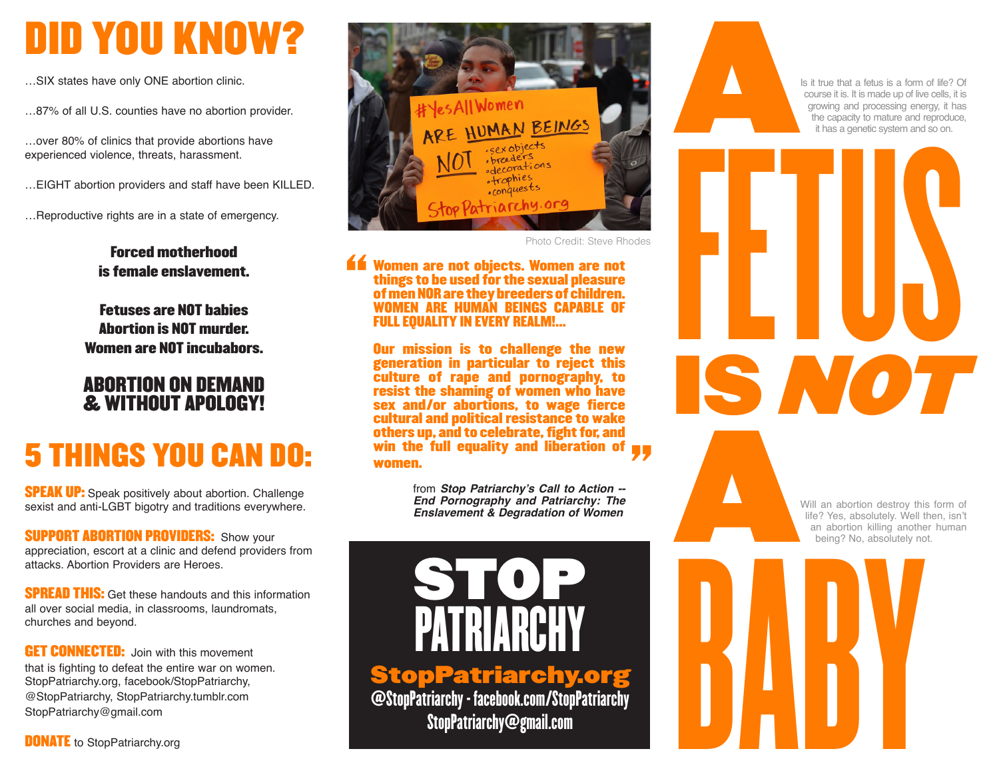## DID YOU KNOW?

…SIX states have only ONE abortion clinic.

…87% of all U.S. counties have no abortion provider.

…over 80% of clinics that provide abortions have experienced violence, threats, harassment.

…EIGHT abortion providers and staff have been KILLED.

…Reproductive rights are in a state of emergency.

### Forced motherhood is female enslavement.

Fetuses are NOT babies Abortion is NOT murder. Women are NOT incubabors.

### ABORTION ON DEMAND & WITHOUT APOLOGY!

### 5 THINGS YOU CAN DO:

**SPEAK UP:** Speak positively about abortion. Challenge sexist and anti-LGBT bigotry and traditions everywhere.

**SUPPORT ABORTION PROVIDERS: Show your** appreciation, escort at a clinic and defend providers from attacks. Abortion Providers are Heroes.

**SPREAD THIS:** Get these handouts and this information all over social media, in classrooms, laundromats, churches and beyond.

**GET CONNECTED:** Join with this movement that is fighting to defeat the entire war on women. StopPatriarchy.org, facebook/StopPatriarchy, @StopPatriarchy, StopPatriarchy.tumblr.com StopPatriarchy@gmail.com

**DONATE** to StopPatriarchy.org



Photo Credit: Steve Rhodes

#### **Example 12 Women are not objects. Women are not things to be used for the sexual pleasure of men NOR are they breeders of children.**<br>WOMEN ARE HUMAN BEINGS CAPABLE OF FULL EQUALITY IN EVERY REALM!... things to be used for the sexual pleasure of men NOR are they breeders of children. WOMEN ARE HUMAN BEINGS CAPABLE OF FULL EQUALITY IN EVERY REALM!...

Our mission is to challenge the new generation in particular to reject this culture of rape and pornography, to resist the shaming of women who have sex and/or abortions, to wage fierce cultural and political resistance to wake others up, and to celebrate, fight for, and women.

**win the full equality and liberation of yyumen.**<br> **Women.**<br>
from Stop Patriarchy's Call to Action --<br>
End Pornography and Patriarchy: The<br>
Enslavement & Degradation of Women from **Stop Patriarchy's Call to Action -- End Pornography and Patriarchy: The Enslavement & Degradation of Women**



StopPatriarchy.org @StopPatriarchy - facebook.com/StopPatriarchy StopPatriarchy@gmail.com

A Is it true that a fetus is a form of life? Of course it is. It is made up of live cells, it is growing and processing energy, it has the capacity to mature and reproduce, it has a genetic system and so on.

FETUS

IS NOT

A Will an abortion destroy this form of life? Yes, absolutely. Well then, isn't an abortion killing another human being? No, absolutely not.